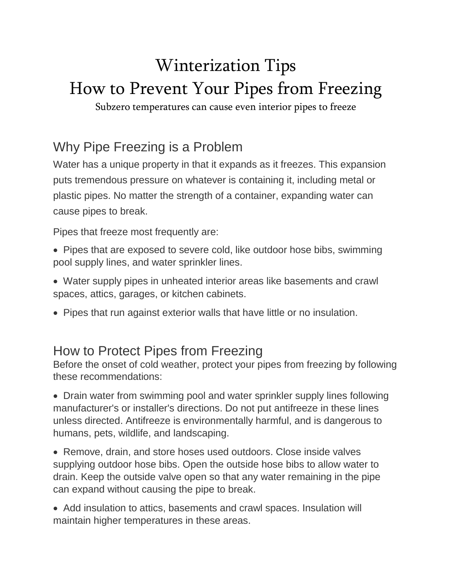# Winterization Tips How to Prevent Your Pipes from Freezing

Subzero temperatures can cause even interior pipes to freeze

## Why Pipe Freezing is a Problem

Water has a unique property in that it expands as it freezes. This expansion puts tremendous pressure on whatever is containing it, including metal or plastic pipes. No matter the strength of a container, expanding water can cause pipes to break.

Pipes that freeze most frequently are:

- Pipes that are exposed to severe cold, like outdoor hose bibs, swimming pool supply lines, and water sprinkler lines.
- Water supply pipes in unheated interior areas like basements and crawl spaces, attics, garages, or kitchen cabinets.
- Pipes that run against exterior walls that have little or no insulation.

### How to Protect Pipes from Freezing

Before the onset of cold weather, protect your pipes from freezing by following these recommendations:

• Drain water from swimming pool and water sprinkler supply lines following manufacturer's or installer's directions. Do not put antifreeze in these lines unless directed. Antifreeze is environmentally harmful, and is dangerous to humans, pets, wildlife, and landscaping.

• Remove, drain, and store hoses used outdoors. Close inside valves supplying outdoor hose bibs. Open the outside hose bibs to allow water to drain. Keep the outside valve open so that any water remaining in the pipe can expand without causing the pipe to break.

• Add insulation to attics, basements and crawl spaces. Insulation will maintain higher temperatures in these areas.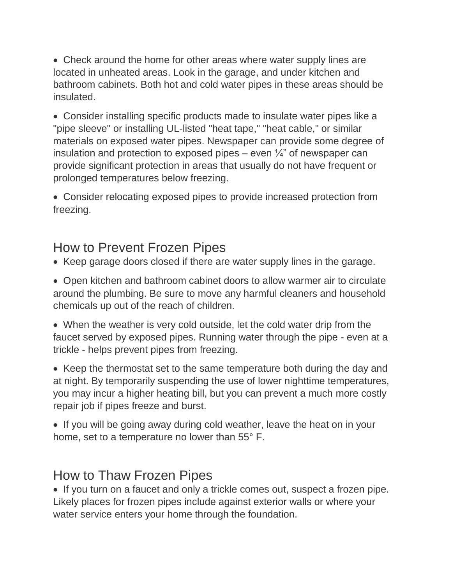• Check around the home for other areas where water supply lines are located in unheated areas. Look in the garage, and under kitchen and bathroom cabinets. Both hot and cold water pipes in these areas should be insulated.

• Consider installing specific products made to insulate water pipes like a "pipe sleeve" or installing UL-listed "heat tape," "heat cable," or similar materials on exposed water pipes. Newspaper can provide some degree of insulation and protection to exposed pipes – even  $\frac{1}{4}$  of newspaper can provide significant protection in areas that usually do not have frequent or prolonged temperatures below freezing.

• Consider relocating exposed pipes to provide increased protection from freezing.

### How to Prevent Frozen Pipes

• Keep garage doors closed if there are water supply lines in the garage.

• Open kitchen and bathroom cabinet doors to allow warmer air to circulate around the plumbing. Be sure to move any harmful cleaners and household chemicals up out of the reach of children.

• When the weather is very cold outside, let the cold water drip from the faucet served by exposed pipes. Running water through the pipe - even at a trickle - helps prevent pipes from freezing.

• Keep the thermostat set to the same temperature both during the day and at night. By temporarily suspending the use of lower nighttime temperatures, you may incur a higher heating bill, but you can prevent a much more costly repair job if pipes freeze and burst.

• If you will be going away during cold weather, leave the heat on in your home, set to a temperature no lower than 55° F.

#### How to Thaw Frozen Pipes

• If you turn on a faucet and only a trickle comes out, suspect a frozen pipe. Likely places for frozen pipes include against exterior walls or where your water service enters your home through the foundation.